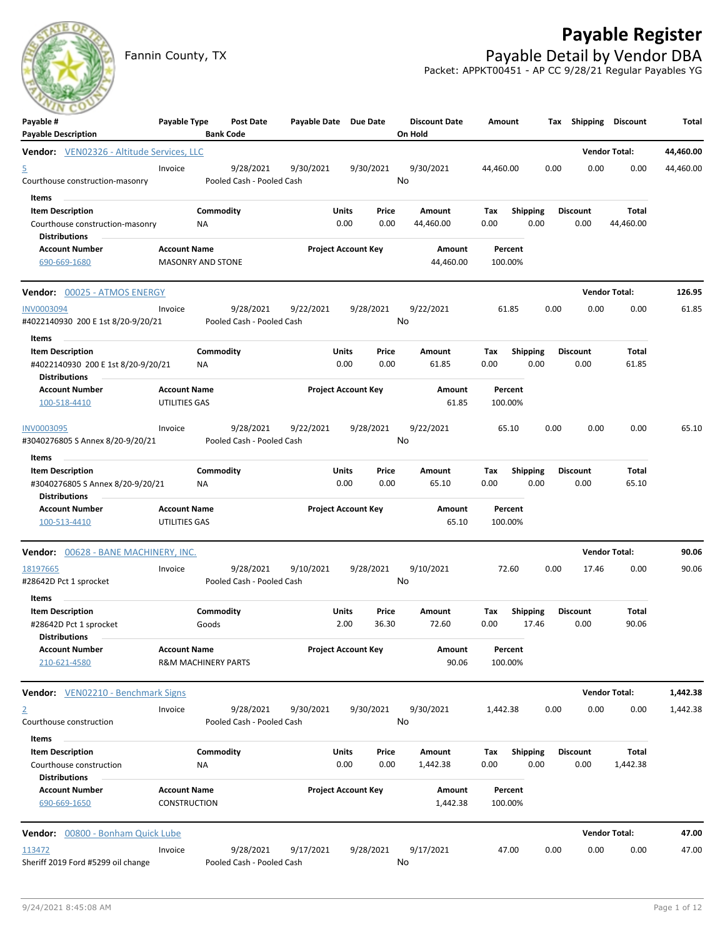# **Payable Register**



#### Fannin County, TX **Payable Detail by Vendor DBA** Packet: APPKT00451 - AP CC 9/28/21 Regular Payables YG

| Payable #                                                  | Payable Type                                   |                    | <b>Post Date</b>                       | Payable Date Due Date |                            |                | <b>Discount Date</b> |                    | Amount             |                          | Tax  | Shipping                | <b>Discount</b>      | Total     |
|------------------------------------------------------------|------------------------------------------------|--------------------|----------------------------------------|-----------------------|----------------------------|----------------|----------------------|--------------------|--------------------|--------------------------|------|-------------------------|----------------------|-----------|
| <b>Payable Description</b>                                 |                                                | <b>Bank Code</b>   |                                        |                       |                            |                | On Hold              |                    |                    |                          |      |                         |                      |           |
| Vendor: VEN02326 - Altitude Services, LLC                  |                                                |                    |                                        |                       |                            |                |                      |                    |                    |                          |      |                         | <b>Vendor Total:</b> | 44,460.00 |
| 5<br>Courthouse construction-masonry                       | Invoice                                        |                    | 9/28/2021<br>Pooled Cash - Pooled Cash | 9/30/2021             |                            | 9/30/2021      | 9/30/2021<br>No      |                    | 44,460.00          |                          | 0.00 | 0.00                    | 0.00                 | 44,460.00 |
| Items                                                      |                                                |                    |                                        |                       |                            |                |                      |                    |                    |                          |      |                         |                      |           |
| <b>Item Description</b>                                    |                                                | Commodity          |                                        |                       | Units                      | Price          | Amount               |                    | Tax                | <b>Shipping</b>          |      | <b>Discount</b>         | Total                |           |
| Courthouse construction-masonry<br><b>Distributions</b>    |                                                | ΝA                 |                                        |                       | 0.00                       | 0.00           | 44,460.00            |                    | 0.00               | 0.00                     |      | 0.00                    | 44,460.00            |           |
| <b>Account Number</b>                                      | <b>Account Name</b>                            |                    |                                        |                       | <b>Project Account Key</b> |                |                      | Amount             | Percent            |                          |      |                         |                      |           |
| 690-669-1680                                               | <b>MASONRY AND STONE</b>                       |                    |                                        |                       |                            |                | 44,460.00            |                    | 100.00%            |                          |      |                         |                      |           |
| Vendor: 00025 - ATMOS ENERGY                               |                                                |                    |                                        |                       |                            |                |                      |                    |                    |                          |      |                         | <b>Vendor Total:</b> | 126.95    |
| <b>INV0003094</b>                                          | Invoice                                        |                    | 9/28/2021                              | 9/22/2021             |                            | 9/28/2021      | 9/22/2021            |                    | 61.85              |                          | 0.00 | 0.00                    | 0.00                 | 61.85     |
| #4022140930 200 E 1st 8/20-9/20/21<br>Items                |                                                |                    | Pooled Cash - Pooled Cash              |                       |                            |                | No                   |                    |                    |                          |      |                         |                      |           |
| <b>Item Description</b>                                    |                                                | Commodity          |                                        |                       | Units                      | Price          | Amount               |                    | Tax                | <b>Shipping</b>          |      | <b>Discount</b>         | Total                |           |
| #4022140930 200 E 1st 8/20-9/20/21<br><b>Distributions</b> |                                                | ΝA                 |                                        |                       | 0.00                       | 0.00           | 61.85                |                    | 0.00               | 0.00                     |      | 0.00                    | 61.85                |           |
| <b>Account Number</b><br>100-518-4410                      | <b>Account Name</b><br>UTILITIES GAS           |                    |                                        |                       | <b>Project Account Key</b> |                |                      | Amount<br>61.85    | Percent<br>100.00% |                          |      |                         |                      |           |
| <b>INV0003095</b>                                          | Invoice                                        |                    | 9/28/2021                              | 9/22/2021             |                            | 9/28/2021      | 9/22/2021            |                    | 65.10              |                          | 0.00 | 0.00                    | 0.00                 | 65.10     |
| #3040276805 S Annex 8/20-9/20/21                           |                                                |                    | Pooled Cash - Pooled Cash              |                       |                            |                | No                   |                    |                    |                          |      |                         |                      |           |
| Items                                                      |                                                |                    |                                        |                       |                            |                |                      |                    |                    |                          |      |                         |                      |           |
| <b>Item Description</b>                                    |                                                | Commodity          |                                        |                       | Units                      | Price          | Amount               |                    | Tax                | <b>Shipping</b>          |      | <b>Discount</b>         | Total                |           |
| #3040276805 S Annex 8/20-9/20/21<br><b>Distributions</b>   |                                                | ΝA                 |                                        |                       | 0.00                       | 0.00           | 65.10                |                    | 0.00               | 0.00                     |      | 0.00                    | 65.10                |           |
| <b>Account Number</b>                                      | <b>Account Name</b>                            |                    |                                        |                       | <b>Project Account Key</b> |                |                      | Amount             | Percent            |                          |      |                         |                      |           |
| 100-513-4410                                               | UTILITIES GAS                                  |                    |                                        |                       |                            |                |                      | 65.10              | 100.00%            |                          |      |                         |                      |           |
|                                                            |                                                |                    |                                        |                       |                            |                |                      |                    |                    |                          |      |                         | <b>Vendor Total:</b> | 90.06     |
| 18197665                                                   | Invoice                                        |                    | 9/28/2021                              | 9/10/2021             |                            | 9/28/2021      | 9/10/2021            |                    | 72.60              |                          | 0.00 | 17.46                   | 0.00                 | 90.06     |
| #28642D Pct 1 sprocket                                     |                                                |                    | Pooled Cash - Pooled Cash              |                       |                            |                | No                   |                    |                    |                          |      |                         |                      |           |
| Items                                                      |                                                |                    |                                        |                       |                            |                |                      |                    |                    |                          |      |                         |                      |           |
| <b>Item Description</b><br>#28642D Pct 1 sprocket          |                                                | Commodity<br>Goods |                                        |                       | Units<br>2.00              | Price<br>36.30 | Amount<br>72.60      |                    | Tax<br>0.00        | <b>Shipping</b><br>17.46 |      | <b>Discount</b><br>0.00 | Total<br>90.06       |           |
| <b>Distributions</b>                                       |                                                |                    |                                        |                       |                            |                |                      |                    |                    |                          |      |                         |                      |           |
| <b>Account Number</b><br>210-621-4580                      | Account Name<br><b>R&amp;M MACHINERY PARTS</b> |                    |                                        |                       | <b>Project Account Key</b> |                |                      | Amount<br>90.06    | Percent<br>100.00% |                          |      |                         |                      |           |
| Vendor: VEN02210 - Benchmark Signs                         |                                                |                    |                                        |                       |                            |                |                      |                    |                    |                          |      |                         | <b>Vendor Total:</b> | 1,442.38  |
| $\overline{2}$                                             | Invoice                                        |                    | 9/28/2021                              | 9/30/2021             |                            | 9/30/2021      | 9/30/2021            |                    | 1,442.38           |                          | 0.00 | 0.00                    | 0.00                 | 1,442.38  |
| Courthouse construction                                    |                                                |                    | Pooled Cash - Pooled Cash              |                       |                            |                | No                   |                    |                    |                          |      |                         |                      |           |
| Items                                                      |                                                |                    |                                        |                       |                            |                |                      |                    |                    |                          |      |                         |                      |           |
| <b>Item Description</b>                                    |                                                | Commodity          |                                        |                       | Units                      | Price          | Amount               |                    | Tax                | <b>Shipping</b>          |      | <b>Discount</b>         | Total                |           |
| Courthouse construction<br><b>Distributions</b>            |                                                | ΝA                 |                                        |                       | 0.00                       | 0.00           | 1,442.38             |                    | 0.00               | 0.00                     |      | 0.00                    | 1,442.38             |           |
| <b>Account Number</b><br>690-669-1650                      | <b>Account Name</b><br>CONSTRUCTION            |                    |                                        |                       | <b>Project Account Key</b> |                |                      | Amount<br>1,442.38 | Percent<br>100.00% |                          |      |                         |                      |           |
| Vendor: 00800 - Bonham Quick Lube                          |                                                |                    |                                        |                       |                            |                |                      |                    |                    |                          |      |                         | <b>Vendor Total:</b> | 47.00     |
| 113472                                                     | Invoice                                        |                    | 9/28/2021                              | 9/17/2021             |                            | 9/28/2021      | 9/17/2021            |                    | 47.00              |                          | 0.00 | 0.00                    | 0.00                 | 47.00     |
| Sheriff 2019 Ford #5299 oil change                         |                                                |                    | Pooled Cash - Pooled Cash              |                       |                            |                | No                   |                    |                    |                          |      |                         |                      |           |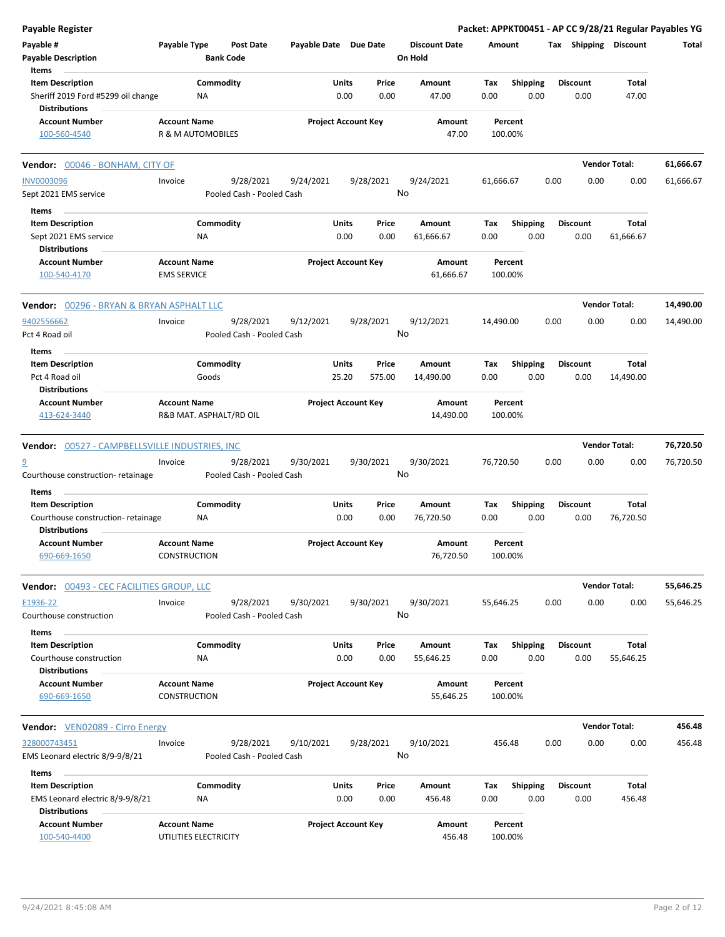| <b>Payable Register</b>                                    |                                                |                    |                           |                       |                            |                 |                                 |             |                         |      |                         | Packet: APPKT00451 - AP CC 9/28/21 Regular Payables YG |           |
|------------------------------------------------------------|------------------------------------------------|--------------------|---------------------------|-----------------------|----------------------------|-----------------|---------------------------------|-------------|-------------------------|------|-------------------------|--------------------------------------------------------|-----------|
| Payable #<br><b>Payable Description</b>                    | Payable Type                                   | <b>Bank Code</b>   | <b>Post Date</b>          | Payable Date Due Date |                            |                 | <b>Discount Date</b><br>On Hold | Amount      |                         |      |                         | Tax Shipping Discount                                  | Total     |
| Items<br><b>Item Description</b>                           |                                                | Commodity          |                           |                       | Units                      | Price           | Amount                          | Tax         | <b>Shipping</b>         |      | <b>Discount</b>         | Total                                                  |           |
| Sheriff 2019 Ford #5299 oil change<br><b>Distributions</b> |                                                | NA                 |                           |                       | 0.00                       | 0.00            | 47.00                           | 0.00        | 0.00                    |      | 0.00                    | 47.00                                                  |           |
| <b>Account Number</b>                                      | <b>Account Name</b>                            |                    |                           |                       | <b>Project Account Key</b> |                 | Amount                          |             | Percent                 |      |                         |                                                        |           |
| 100-560-4540                                               | R & M AUTOMOBILES                              |                    |                           |                       |                            |                 | 47.00                           |             | 100.00%                 |      |                         |                                                        |           |
| Vendor: 00046 - BONHAM, CITY OF                            |                                                |                    |                           |                       |                            |                 |                                 |             |                         |      |                         | <b>Vendor Total:</b>                                   | 61,666.67 |
| <b>INV0003096</b>                                          | Invoice                                        |                    | 9/28/2021                 | 9/24/2021             |                            | 9/28/2021       | 9/24/2021                       | 61,666.67   |                         | 0.00 | 0.00                    | 0.00                                                   | 61,666.67 |
| Sept 2021 EMS service                                      |                                                |                    | Pooled Cash - Pooled Cash |                       |                            | No              |                                 |             |                         |      |                         |                                                        |           |
| Items                                                      |                                                |                    |                           |                       |                            |                 |                                 |             |                         |      |                         |                                                        |           |
| <b>Item Description</b>                                    |                                                | Commodity          |                           |                       | Units                      | Price           | Amount                          | Tax         | <b>Shipping</b>         |      | <b>Discount</b>         | Total                                                  |           |
| Sept 2021 EMS service                                      |                                                | ΝA                 |                           |                       | 0.00                       | 0.00            | 61,666.67                       | 0.00        | 0.00                    |      | 0.00                    | 61,666.67                                              |           |
| <b>Distributions</b><br><b>Account Number</b>              | <b>Account Name</b>                            |                    |                           |                       | <b>Project Account Key</b> |                 | Amount                          |             | Percent                 |      |                         |                                                        |           |
| 100-540-4170                                               | <b>EMS SERVICE</b>                             |                    |                           |                       |                            |                 | 61,666.67                       |             | 100.00%                 |      |                         |                                                        |           |
| <b>Vendor: 00296 - BRYAN &amp; BRYAN ASPHALT LLC</b>       |                                                |                    |                           |                       |                            |                 |                                 |             |                         |      |                         | <b>Vendor Total:</b>                                   | 14,490.00 |
| 9402556662                                                 | Invoice                                        |                    | 9/28/2021                 | 9/12/2021             |                            | 9/28/2021       | 9/12/2021                       | 14,490.00   |                         | 0.00 | 0.00                    | 0.00                                                   | 14,490.00 |
| Pct 4 Road oil                                             |                                                |                    | Pooled Cash - Pooled Cash |                       |                            | No              |                                 |             |                         |      |                         |                                                        |           |
| Items                                                      |                                                |                    |                           |                       |                            |                 |                                 |             |                         |      |                         |                                                        |           |
| <b>Item Description</b><br>Pct 4 Road oil                  |                                                | Commodity<br>Goods |                           |                       | Units<br>25.20             | Price<br>575.00 | Amount<br>14,490.00             | Tax<br>0.00 | <b>Shipping</b><br>0.00 |      | <b>Discount</b><br>0.00 | Total<br>14,490.00                                     |           |
| <b>Distributions</b>                                       |                                                |                    |                           |                       |                            |                 |                                 |             |                         |      |                         |                                                        |           |
| <b>Account Number</b><br>413-624-3440                      | <b>Account Name</b><br>R&B MAT. ASPHALT/RD OIL |                    |                           |                       | <b>Project Account Key</b> |                 | Amount<br>14,490.00             |             | Percent<br>100.00%      |      |                         |                                                        |           |
| <b>Vendor: 00527 - CAMPBELLSVILLE INDUSTRIES, INC</b>      |                                                |                    |                           |                       |                            |                 |                                 |             |                         |      |                         | <b>Vendor Total:</b>                                   | 76,720.50 |
| $\overline{a}$                                             | Invoice                                        |                    | 9/28/2021                 | 9/30/2021             |                            | 9/30/2021       | 9/30/2021                       | 76,720.50   |                         | 0.00 | 0.00                    | 0.00                                                   | 76,720.50 |
| Courthouse construction-retainage                          |                                                |                    | Pooled Cash - Pooled Cash |                       |                            | No              |                                 |             |                         |      |                         |                                                        |           |
| Items                                                      |                                                |                    |                           |                       |                            |                 |                                 |             |                         |      |                         |                                                        |           |
| <b>Item Description</b>                                    |                                                | Commodity          |                           |                       | Units                      | Price           | Amount                          | Tax         | <b>Shipping</b>         |      | <b>Discount</b>         | Total                                                  |           |
| Courthouse construction-retainage                          |                                                | NA                 |                           |                       | 0.00                       | 0.00            | 76,720.50                       | 0.00        | 0.00                    |      | 0.00                    | 76,720.50                                              |           |
| <b>Distributions</b>                                       |                                                |                    |                           |                       |                            |                 |                                 |             |                         |      |                         |                                                        |           |
| <b>Account Number</b>                                      | <b>Account Name</b>                            |                    |                           |                       | <b>Project Account Key</b> |                 | Amount                          |             | Percent                 |      |                         |                                                        |           |
| 690-669-1650                                               | <b>CONSTRUCTION</b>                            |                    |                           |                       |                            |                 | 76,720.50                       |             | 100.00%                 |      |                         |                                                        |           |
| Vendor: 00493 - CEC FACILITIES GROUP, LLC                  |                                                |                    |                           |                       |                            |                 |                                 |             |                         |      |                         | <b>Vendor Total:</b>                                   | 55,646.25 |
| E1936-22                                                   | Invoice                                        |                    | 9/28/2021                 | 9/30/2021             |                            | 9/30/2021       | 9/30/2021                       | 55,646.25   |                         | 0.00 | 0.00                    | 0.00                                                   | 55,646.25 |
| Courthouse construction                                    |                                                |                    | Pooled Cash - Pooled Cash |                       |                            | No              |                                 |             |                         |      |                         |                                                        |           |
| Items                                                      |                                                |                    |                           |                       |                            |                 |                                 |             |                         |      |                         |                                                        |           |
| <b>Item Description</b>                                    |                                                | Commodity          |                           |                       | Units                      | Price           | Amount                          | Tax         | Shipping                |      | <b>Discount</b>         | Total                                                  |           |
| Courthouse construction                                    |                                                | NA                 |                           |                       | 0.00                       | 0.00            | 55,646.25                       | 0.00        | 0.00                    |      | 0.00                    | 55,646.25                                              |           |
| <b>Distributions</b>                                       |                                                |                    |                           |                       |                            |                 |                                 |             |                         |      |                         |                                                        |           |
| <b>Account Number</b>                                      | <b>Account Name</b>                            |                    |                           |                       | <b>Project Account Key</b> |                 | Amount                          |             | Percent                 |      |                         |                                                        |           |
| 690-669-1650                                               | <b>CONSTRUCTION</b>                            |                    |                           |                       |                            |                 | 55,646.25                       |             | 100.00%                 |      |                         |                                                        |           |
| Vendor: VEN02089 - Cirro Energy                            |                                                |                    |                           |                       |                            |                 |                                 |             |                         |      |                         | <b>Vendor Total:</b>                                   | 456.48    |
| 328000743451                                               | Invoice                                        |                    | 9/28/2021                 | 9/10/2021             |                            | 9/28/2021       | 9/10/2021                       |             | 456.48                  | 0.00 | 0.00                    | 0.00                                                   | 456.48    |
| EMS Leonard electric 8/9-9/8/21                            |                                                |                    | Pooled Cash - Pooled Cash |                       |                            | No              |                                 |             |                         |      |                         |                                                        |           |
| Items<br><b>Item Description</b>                           |                                                | Commodity          |                           |                       | Units                      | Price           | Amount                          | Tax         | <b>Shipping</b>         |      | <b>Discount</b>         | Total                                                  |           |
| EMS Leonard electric 8/9-9/8/21                            |                                                | NA                 |                           |                       | 0.00                       | 0.00            | 456.48                          | 0.00        | 0.00                    |      | 0.00                    | 456.48                                                 |           |
| <b>Distributions</b>                                       |                                                |                    |                           |                       |                            |                 |                                 |             |                         |      |                         |                                                        |           |
| <b>Account Number</b>                                      | <b>Account Name</b>                            |                    |                           |                       | <b>Project Account Key</b> |                 | Amount                          |             | Percent                 |      |                         |                                                        |           |
| 100-540-4400                                               | UTILITIES ELECTRICITY                          |                    |                           |                       |                            |                 | 456.48                          |             | 100.00%                 |      |                         |                                                        |           |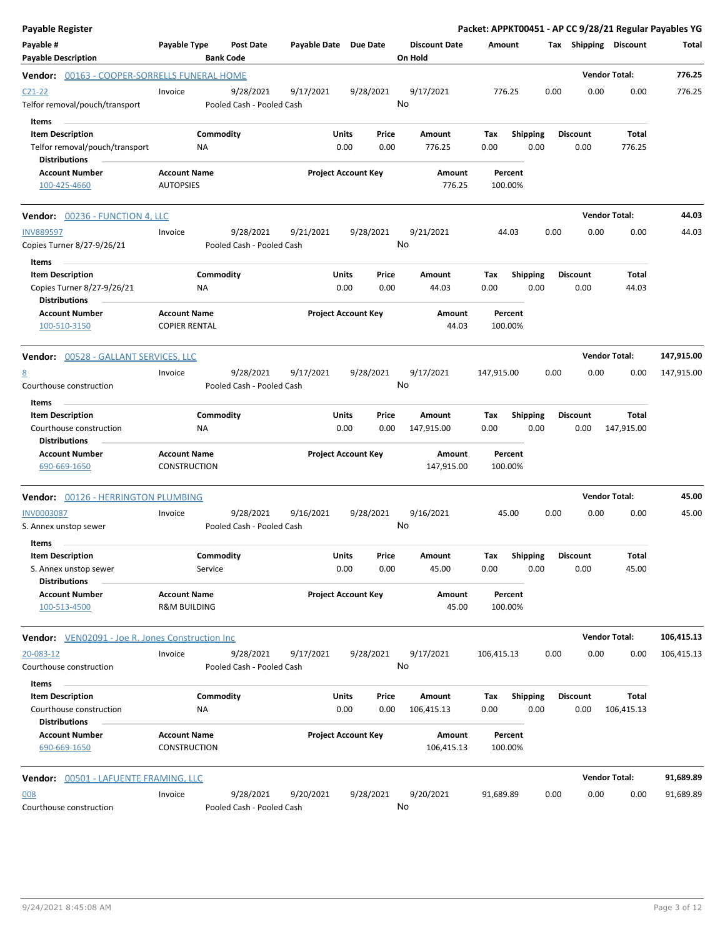| Payable Register                                                                           |                                                |                                        |                       |                            |               |                                 |                    |                         |      |                         |                       | Packet: APPKT00451 - AP CC 9/28/21 Regular Payables YG |
|--------------------------------------------------------------------------------------------|------------------------------------------------|----------------------------------------|-----------------------|----------------------------|---------------|---------------------------------|--------------------|-------------------------|------|-------------------------|-----------------------|--------------------------------------------------------|
| Payable #<br><b>Payable Description</b>                                                    | Payable Type                                   | <b>Post Date</b><br><b>Bank Code</b>   | Payable Date Due Date |                            |               | <b>Discount Date</b><br>On Hold | Amount             |                         |      | Tax Shipping Discount   |                       | Total                                                  |
| Vendor: 00163 - COOPER-SORRELLS FUNERAL HOME                                               |                                                |                                        |                       |                            |               |                                 |                    |                         |      |                         | <b>Vendor Total:</b>  | 776.25                                                 |
| C21-22<br>Telfor removal/pouch/transport                                                   | Invoice                                        | 9/28/2021<br>Pooled Cash - Pooled Cash | 9/17/2021             | 9/28/2021                  |               | 9/17/2021<br>No                 | 776.25             |                         | 0.00 | 0.00                    | 0.00                  | 776.25                                                 |
| Items<br><b>Item Description</b><br>Telfor removal/pouch/transport<br><b>Distributions</b> | Commodity<br>ΝA                                |                                        |                       | Units<br>0.00              | Price<br>0.00 | Amount<br>776.25                | Tax<br>0.00        | <b>Shipping</b><br>0.00 |      | <b>Discount</b><br>0.00 | Total<br>776.25       |                                                        |
| <b>Account Number</b><br>100-425-4660                                                      | <b>Account Name</b><br><b>AUTOPSIES</b>        |                                        |                       | <b>Project Account Key</b> |               | Amount<br>776.25                | Percent<br>100.00% |                         |      |                         |                       |                                                        |
| <b>Vendor:</b> 00236 - FUNCTION 4, LLC                                                     |                                                |                                        |                       |                            |               |                                 |                    |                         |      |                         | <b>Vendor Total:</b>  | 44.03                                                  |
| <b>INV889597</b><br>Copies Turner 8/27-9/26/21                                             | Invoice                                        | 9/28/2021<br>Pooled Cash - Pooled Cash | 9/21/2021             | 9/28/2021                  |               | 9/21/2021<br>No                 | 44.03              |                         | 0.00 | 0.00                    | 0.00                  | 44.03                                                  |
| Items<br><b>Item Description</b><br>Copies Turner 8/27-9/26/21<br><b>Distributions</b>     | Commodity<br>ΝA                                |                                        |                       | Units<br>0.00              | Price<br>0.00 | Amount<br>44.03                 | Tax<br>0.00        | <b>Shipping</b><br>0.00 |      | <b>Discount</b><br>0.00 | Total<br>44.03        |                                                        |
| <b>Account Number</b><br>100-510-3150                                                      | <b>Account Name</b><br><b>COPIER RENTAL</b>    |                                        |                       | <b>Project Account Key</b> |               | Amount<br>44.03                 | Percent<br>100.00% |                         |      |                         |                       |                                                        |
| Vendor: 00528 - GALLANT SERVICES, LLC                                                      |                                                |                                        |                       |                            |               |                                 |                    |                         |      |                         | <b>Vendor Total:</b>  | 147,915.00                                             |
| <u>8</u><br>Courthouse construction                                                        | Invoice                                        | 9/28/2021<br>Pooled Cash - Pooled Cash | 9/17/2021             | 9/28/2021                  |               | 9/17/2021<br>No                 | 147,915.00         |                         | 0.00 | 0.00                    | 0.00                  | 147,915.00                                             |
| Items<br><b>Item Description</b><br>Courthouse construction<br><b>Distributions</b>        | Commodity<br>NA                                |                                        |                       | Units<br>0.00              | Price<br>0.00 | Amount<br>147,915.00            | Tax<br>0.00        | <b>Shipping</b><br>0.00 |      | <b>Discount</b><br>0.00 | Total<br>147,915.00   |                                                        |
| <b>Account Number</b><br>690-669-1650                                                      | <b>Account Name</b><br><b>CONSTRUCTION</b>     |                                        |                       | <b>Project Account Key</b> |               | Amount<br>147,915.00            | Percent<br>100.00% |                         |      |                         |                       |                                                        |
| Vendor: 00126 - HERRINGTON PLUMBING                                                        |                                                |                                        |                       |                            |               |                                 |                    |                         |      |                         | <b>Vendor Total:</b>  | 45.00                                                  |
| <b>INV0003087</b><br>S. Annex unstop sewer<br>Items                                        | Invoice                                        | 9/28/2021<br>Pooled Cash - Pooled Cash | 9/16/2021             | 9/28/2021                  |               | 9/16/2021<br>No                 | 45.00              |                         | 0.00 | 0.00                    | 0.00                  | 45.00                                                  |
| <b>Item Description</b><br>S. Annex unstop sewer<br><b>Distributions</b>                   | Commodity<br>Service                           |                                        |                       | Units<br>0.00              | Price<br>0.00 | Amount<br>45.00                 | Tax<br>0.00        | Shipping<br>0.00        |      | <b>Discount</b><br>0.00 | <b>Total</b><br>45.00 |                                                        |
| <b>Account Number</b><br>100-513-4500                                                      | <b>Account Name</b><br><b>R&amp;M BUILDING</b> |                                        |                       | <b>Project Account Key</b> |               | Amount<br>45.00                 | Percent<br>100.00% |                         |      |                         |                       |                                                        |
| Vendor: VEN02091 - Joe R. Jones Construction Inc                                           |                                                |                                        |                       |                            |               |                                 |                    |                         |      |                         | <b>Vendor Total:</b>  | 106,415.13                                             |
| 20-083-12<br>Courthouse construction                                                       | Invoice                                        | 9/28/2021<br>Pooled Cash - Pooled Cash | 9/17/2021             | 9/28/2021                  |               | 9/17/2021<br>No                 | 106,415.13         |                         | 0.00 | 0.00                    | 0.00                  | 106,415.13                                             |
| Items<br><b>Item Description</b>                                                           | Commodity                                      |                                        |                       | Units                      | Price         | Amount                          | Tax                | <b>Shipping</b>         |      | <b>Discount</b>         | Total                 |                                                        |
| Courthouse construction<br><b>Distributions</b>                                            | ΝA                                             |                                        |                       | 0.00                       | 0.00          | 106,415.13                      | 0.00               | 0.00                    |      | 0.00                    | 106,415.13            |                                                        |
| <b>Account Number</b><br>690-669-1650                                                      | <b>Account Name</b><br>CONSTRUCTION            |                                        |                       | <b>Project Account Key</b> |               | Amount<br>106,415.13            | Percent<br>100.00% |                         |      |                         |                       |                                                        |
| <b>Vendor:</b> 00501 - LAFUENTE FRAMING, LLC                                               |                                                |                                        |                       |                            |               |                                 |                    |                         |      |                         | <b>Vendor Total:</b>  | 91,689.89                                              |
| 008<br>Courthouse construction                                                             | Invoice                                        | 9/28/2021<br>Pooled Cash - Pooled Cash | 9/20/2021             | 9/28/2021                  |               | 9/20/2021<br>No                 | 91,689.89          |                         | 0.00 | 0.00                    | 0.00                  | 91,689.89                                              |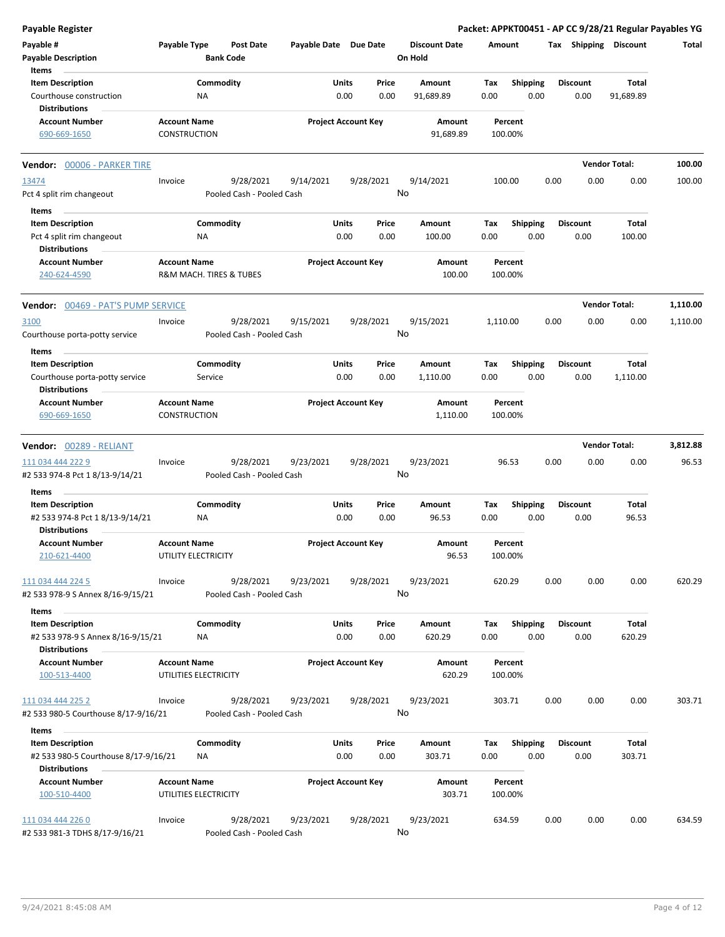| <b>Payable Register</b>                         |                     |                         |                           |                       |                            |           |                      |          |                    |      |                       | Packet: APPKT00451 - AP CC 9/28/21 Regular Payables YG |          |
|-------------------------------------------------|---------------------|-------------------------|---------------------------|-----------------------|----------------------------|-----------|----------------------|----------|--------------------|------|-----------------------|--------------------------------------------------------|----------|
| Payable #                                       | Payable Type        |                         | Post Date                 | Payable Date Due Date |                            |           | <b>Discount Date</b> | Amount   |                    |      | Tax Shipping Discount |                                                        | Total    |
| <b>Payable Description</b>                      |                     | <b>Bank Code</b>        |                           |                       |                            |           | On Hold              |          |                    |      |                       |                                                        |          |
| Items                                           |                     |                         |                           |                       |                            |           |                      |          |                    |      |                       |                                                        |          |
| <b>Item Description</b>                         |                     | Commodity               |                           |                       | Units                      | Price     | Amount               | Tax      | <b>Shipping</b>    |      | <b>Discount</b>       | Total                                                  |          |
| Courthouse construction<br><b>Distributions</b> |                     | <b>NA</b>               |                           |                       | 0.00                       | 0.00      | 91,689.89            | 0.00     | 0.00               |      | 0.00                  | 91,689.89                                              |          |
| <b>Account Number</b>                           | <b>Account Name</b> |                         |                           |                       | <b>Project Account Key</b> |           | Amount               |          | Percent            |      |                       |                                                        |          |
| 690-669-1650                                    | <b>CONSTRUCTION</b> |                         |                           |                       |                            |           | 91,689.89            |          | 100.00%            |      |                       |                                                        |          |
| Vendor: 00006 - PARKER TIRE                     |                     |                         |                           |                       |                            |           |                      |          |                    |      |                       | <b>Vendor Total:</b>                                   | 100.00   |
| 13474                                           | Invoice             |                         | 9/28/2021                 | 9/14/2021             |                            | 9/28/2021 | 9/14/2021            |          | 100.00             | 0.00 | 0.00                  | 0.00                                                   | 100.00   |
| Pct 4 split rim changeout                       |                     |                         | Pooled Cash - Pooled Cash |                       |                            |           | No                   |          |                    |      |                       |                                                        |          |
| Items                                           |                     |                         |                           |                       |                            |           |                      |          |                    |      |                       |                                                        |          |
| <b>Item Description</b>                         |                     | Commodity               |                           |                       | Units                      | Price     | Amount               | Tax      | <b>Shipping</b>    |      | <b>Discount</b>       | Total                                                  |          |
| Pct 4 split rim changeout                       |                     | ΝA                      |                           |                       | 0.00                       | 0.00      | 100.00               | 0.00     | 0.00               |      | 0.00                  | 100.00                                                 |          |
| <b>Distributions</b>                            |                     |                         |                           |                       |                            |           |                      |          |                    |      |                       |                                                        |          |
| <b>Account Number</b><br>240-624-4590           | <b>Account Name</b> | R&M MACH. TIRES & TUBES |                           |                       | <b>Project Account Key</b> |           | Amount<br>100.00     |          | Percent<br>100.00% |      |                       |                                                        |          |
| <b>Vendor: 00469 - PAT'S PUMP SERVICE</b>       |                     |                         |                           |                       |                            |           |                      |          |                    |      |                       | <b>Vendor Total:</b>                                   | 1,110.00 |
| 3100                                            | Invoice             |                         | 9/28/2021                 | 9/15/2021             |                            | 9/28/2021 | 9/15/2021            | 1,110.00 |                    | 0.00 | 0.00                  | 0.00                                                   | 1,110.00 |
| Courthouse porta-potty service                  |                     |                         | Pooled Cash - Pooled Cash |                       |                            |           | No                   |          |                    |      |                       |                                                        |          |
|                                                 |                     |                         |                           |                       |                            |           |                      |          |                    |      |                       |                                                        |          |
| Items                                           |                     |                         |                           |                       |                            |           |                      |          |                    |      |                       |                                                        |          |
| <b>Item Description</b>                         |                     | Commodity               |                           |                       | Units                      | Price     | Amount               | Tax      | <b>Shipping</b>    |      | <b>Discount</b>       | Total                                                  |          |
| Courthouse porta-potty service                  |                     | Service                 |                           |                       | 0.00                       | 0.00      | 1,110.00             | 0.00     | 0.00               |      | 0.00                  | 1,110.00                                               |          |
| <b>Distributions</b>                            |                     |                         |                           |                       |                            |           |                      |          |                    |      |                       |                                                        |          |
| <b>Account Number</b>                           | <b>Account Name</b> |                         |                           |                       | <b>Project Account Key</b> |           | Amount               |          | Percent            |      |                       |                                                        |          |
| 690-669-1650                                    | <b>CONSTRUCTION</b> |                         |                           |                       |                            |           | 1,110.00             |          | 100.00%            |      |                       |                                                        |          |
| Vendor: 00289 - RELIANT                         |                     |                         |                           |                       |                            |           |                      |          |                    |      |                       | <b>Vendor Total:</b>                                   | 3,812.88 |
| 111 034 444 222 9                               | Invoice             |                         | 9/28/2021                 | 9/23/2021             |                            | 9/28/2021 | 9/23/2021            |          | 96.53              | 0.00 | 0.00                  | 0.00                                                   | 96.53    |
| #2 533 974-8 Pct 1 8/13-9/14/21                 |                     |                         | Pooled Cash - Pooled Cash |                       |                            |           | No                   |          |                    |      |                       |                                                        |          |
|                                                 |                     |                         |                           |                       |                            |           |                      |          |                    |      |                       |                                                        |          |
| Items                                           |                     |                         |                           |                       | Units                      |           |                      |          |                    |      |                       |                                                        |          |
| <b>Item Description</b>                         |                     | Commodity               |                           |                       |                            | Price     | Amount               | Tax      | <b>Shipping</b>    |      | <b>Discount</b>       | Total                                                  |          |
| #2 533 974-8 Pct 1 8/13-9/14/21                 |                     | NA                      |                           |                       | 0.00                       | 0.00      | 96.53                | 0.00     | 0.00               |      | 0.00                  | 96.53                                                  |          |
| <b>Distributions</b>                            |                     |                         |                           |                       |                            |           |                      |          |                    |      |                       |                                                        |          |
| <b>Account Number</b><br>210-621-4400           | <b>Account Name</b> | UTILITY ELECTRICITY     |                           |                       | <b>Project Account Key</b> |           | Amount<br>96.53      |          | Percent<br>100.00% |      |                       |                                                        |          |
| 111 034 444 224 5                               | Invoice             |                         | 9/28/2021                 | 9/23/2021             |                            | 9/28/2021 | 9/23/2021            |          | 620.29             | 0.00 | 0.00                  | 0.00                                                   | 620.29   |
| #2 533 978-9 S Annex 8/16-9/15/21               |                     |                         | Pooled Cash - Pooled Cash |                       |                            |           | No                   |          |                    |      |                       |                                                        |          |
| Items                                           |                     |                         |                           |                       |                            |           |                      |          |                    |      |                       |                                                        |          |
| <b>Item Description</b>                         |                     | Commodity               |                           |                       | Units                      | Price     | Amount               | Tax      | Shipping           |      | <b>Discount</b>       | Total                                                  |          |
| #2 533 978-9 S Annex 8/16-9/15/21               |                     | ΝA                      |                           |                       | 0.00                       | 0.00      | 620.29               | 0.00     | 0.00               |      | 0.00                  | 620.29                                                 |          |
| <b>Distributions</b>                            |                     |                         |                           |                       |                            |           |                      |          |                    |      |                       |                                                        |          |
| <b>Account Number</b>                           | <b>Account Name</b> |                         |                           |                       | <b>Project Account Key</b> |           | Amount               |          | Percent            |      |                       |                                                        |          |
| 100-513-4400                                    |                     | UTILITIES ELECTRICITY   |                           |                       |                            |           | 620.29               |          | 100.00%            |      |                       |                                                        |          |
| 111 034 444 225 2                               | Invoice             |                         | 9/28/2021                 | 9/23/2021             |                            | 9/28/2021 | 9/23/2021            |          | 303.71             | 0.00 | 0.00                  | 0.00                                                   | 303.71   |
| #2 533 980-5 Courthouse 8/17-9/16/21            |                     |                         | Pooled Cash - Pooled Cash |                       |                            |           | No                   |          |                    |      |                       |                                                        |          |
| Items                                           |                     |                         |                           |                       |                            |           |                      |          |                    |      |                       |                                                        |          |
| <b>Item Description</b>                         |                     | Commodity               |                           |                       | Units                      | Price     | Amount               | Tax      | <b>Shipping</b>    |      | <b>Discount</b>       | Total                                                  |          |
| #2 533 980-5 Courthouse 8/17-9/16/21            |                     | <b>NA</b>               |                           |                       | 0.00                       | 0.00      | 303.71               | 0.00     | 0.00               |      | 0.00                  | 303.71                                                 |          |
| <b>Distributions</b>                            |                     |                         |                           |                       |                            |           |                      |          |                    |      |                       |                                                        |          |
| <b>Account Number</b><br>100-510-4400           | <b>Account Name</b> | UTILITIES ELECTRICITY   |                           |                       | <b>Project Account Key</b> |           | Amount<br>303.71     |          | Percent<br>100.00% |      |                       |                                                        |          |
| 111 034 444 226 0                               | Invoice             |                         | 9/28/2021                 | 9/23/2021             |                            | 9/28/2021 | 9/23/2021            |          | 634.59             | 0.00 | 0.00                  | 0.00                                                   | 634.59   |
| #2 533 981-3 TDHS 8/17-9/16/21                  |                     |                         | Pooled Cash - Pooled Cash |                       |                            |           | No                   |          |                    |      |                       |                                                        |          |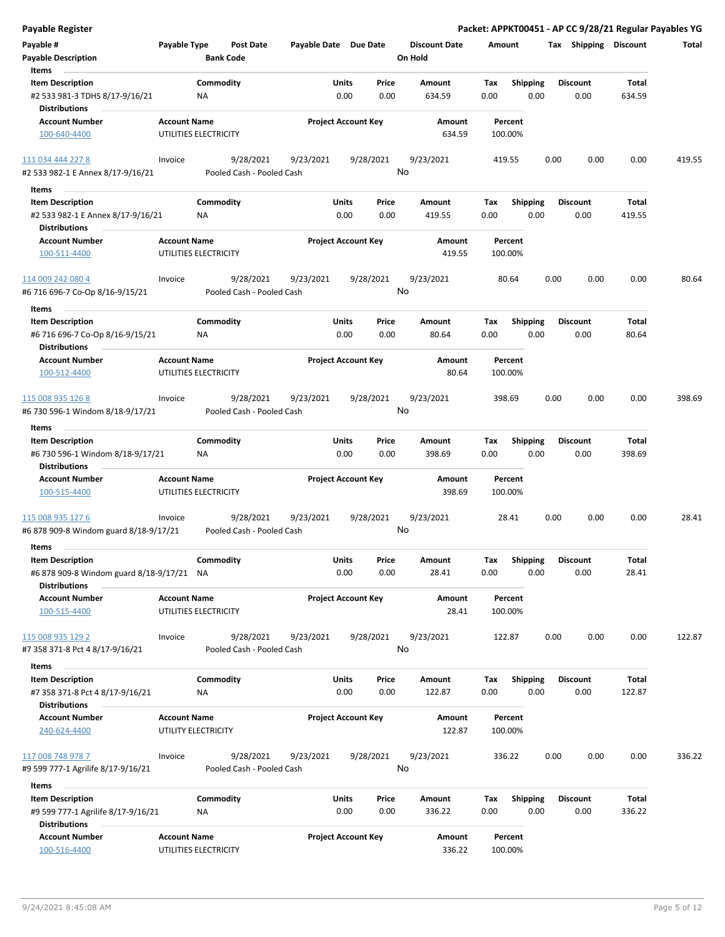| <b>Payable Register</b>                                                            |                     |                                        |                       |                            |                 |                                 |                    |                         |      |                         |                 | Packet: APPKT00451 - AP CC 9/28/21 Regular Payables YG |
|------------------------------------------------------------------------------------|---------------------|----------------------------------------|-----------------------|----------------------------|-----------------|---------------------------------|--------------------|-------------------------|------|-------------------------|-----------------|--------------------------------------------------------|
| Payable #<br><b>Payable Description</b>                                            | Payable Type        | <b>Post Date</b><br><b>Bank Code</b>   | Payable Date Due Date |                            |                 | <b>Discount Date</b><br>On Hold | Amount             |                         |      | Tax Shipping Discount   |                 | Total                                                  |
| Items                                                                              |                     |                                        |                       |                            |                 |                                 |                    |                         |      |                         |                 |                                                        |
| <b>Item Description</b><br>#2 533 981-3 TDHS 8/17-9/16/21                          |                     | Commodity<br><b>NA</b>                 |                       | Units<br>0.00              | Price<br>0.00   | <b>Amount</b><br>634.59         | Tax<br>0.00        | <b>Shipping</b><br>0.00 |      | <b>Discount</b><br>0.00 | Total<br>634.59 |                                                        |
| <b>Distributions</b>                                                               |                     |                                        |                       |                            |                 |                                 |                    |                         |      |                         |                 |                                                        |
| <b>Account Number</b><br>100-640-4400                                              | <b>Account Name</b> | UTILITIES ELECTRICITY                  |                       | <b>Project Account Key</b> |                 | Amount<br>634.59                | Percent<br>100.00% |                         |      |                         |                 |                                                        |
| 111 034 444 227 8                                                                  | Invoice             | 9/28/2021                              | 9/23/2021             |                            | 9/28/2021       | 9/23/2021                       | 419.55             |                         | 0.00 | 0.00                    | 0.00            | 419.55                                                 |
| #2 533 982-1 E Annex 8/17-9/16/21                                                  |                     | Pooled Cash - Pooled Cash              |                       |                            | No              |                                 |                    |                         |      |                         |                 |                                                        |
| Items                                                                              |                     |                                        |                       |                            |                 |                                 |                    |                         |      |                         |                 |                                                        |
| <b>Item Description</b>                                                            |                     | Commodity                              |                       | Units                      | Price           | Amount                          | Tax                | <b>Shipping</b>         |      | <b>Discount</b>         | Total           |                                                        |
| #2 533 982-1 E Annex 8/17-9/16/21<br><b>Distributions</b>                          |                     | ΝA                                     |                       | 0.00                       | 0.00            | 419.55                          | 0.00               | 0.00                    |      | 0.00                    | 419.55          |                                                        |
| <b>Account Number</b>                                                              | <b>Account Name</b> |                                        |                       | <b>Project Account Key</b> |                 | Amount                          | Percent            |                         |      |                         |                 |                                                        |
| 100-511-4400                                                                       |                     | UTILITIES ELECTRICITY                  |                       |                            |                 | 419.55                          | 100.00%            |                         |      |                         |                 |                                                        |
| 114 009 242 080 4<br>#6 716 696-7 Co-Op 8/16-9/15/21                               | Invoice             | 9/28/2021<br>Pooled Cash - Pooled Cash | 9/23/2021             |                            | 9/28/2021       | 9/23/2021<br>No                 | 80.64              |                         | 0.00 | 0.00                    | 0.00            | 80.64                                                  |
| Items                                                                              |                     |                                        |                       |                            |                 |                                 |                    |                         |      |                         |                 |                                                        |
| <b>Item Description</b><br>#6 716 696-7 Co-Op 8/16-9/15/21<br><b>Distributions</b> |                     | Commodity<br><b>NA</b>                 |                       | Units<br>0.00              | Price<br>0.00   | Amount<br>80.64                 | Tax<br>0.00        | <b>Shipping</b><br>0.00 |      | <b>Discount</b><br>0.00 | Total<br>80.64  |                                                        |
| <b>Account Number</b>                                                              | <b>Account Name</b> |                                        |                       | <b>Project Account Key</b> |                 | Amount                          | Percent            |                         |      |                         |                 |                                                        |
| 100-512-4400                                                                       |                     | UTILITIES ELECTRICITY                  |                       |                            |                 | 80.64                           | 100.00%            |                         |      |                         |                 |                                                        |
| 115 008 935 126 8                                                                  | Invoice             | 9/28/2021                              | 9/23/2021             |                            | 9/28/2021       | 9/23/2021                       | 398.69             |                         | 0.00 | 0.00                    | 0.00            | 398.69                                                 |
| #6 730 596-1 Windom 8/18-9/17/21                                                   |                     | Pooled Cash - Pooled Cash              |                       |                            |                 | No                              |                    |                         |      |                         |                 |                                                        |
| Items                                                                              |                     |                                        |                       |                            |                 |                                 |                    |                         |      |                         |                 |                                                        |
| <b>Item Description</b>                                                            |                     | Commodity                              |                       | Units                      | Price           | Amount                          | Tax                | <b>Shipping</b>         |      | <b>Discount</b>         | Total           |                                                        |
| #6 730 596-1 Windom 8/18-9/17/21<br><b>Distributions</b>                           |                     | NA                                     |                       | 0.00                       | 0.00            | 398.69                          | 0.00               | 0.00                    |      | 0.00                    | 398.69          |                                                        |
| <b>Account Number</b><br>100-515-4400                                              | <b>Account Name</b> | UTILITIES ELECTRICITY                  |                       | <b>Project Account Key</b> |                 | Amount<br>398.69                | Percent<br>100.00% |                         |      |                         |                 |                                                        |
| 115 008 935 127 6                                                                  | Invoice             | 9/28/2021                              | 9/23/2021             |                            | 9/28/2021       | 9/23/2021                       | 28.41              |                         | 0.00 | 0.00                    | 0.00            | 28.41                                                  |
| #6 878 909-8 Windom guard 8/18-9/17/21                                             |                     | Pooled Cash - Pooled Cash              |                       |                            |                 | No                              |                    |                         |      |                         |                 |                                                        |
| Items                                                                              |                     |                                        |                       |                            |                 |                                 |                    |                         |      |                         |                 |                                                        |
| <b>Item Description</b>                                                            |                     | Commodity                              |                       | Units                      | Price           | Amount                          | Tax                | Shipping                |      | <b>Discount</b>         | Total           |                                                        |
| #6 878 909-8 Windom guard 8/18-9/17/21<br><b>Distributions</b>                     |                     | ΝA                                     |                       | 0.00                       | 0.00            | 28.41                           | 0.00               | 0.00                    |      | 0.00                    | 28.41           |                                                        |
| <b>Account Number</b>                                                              | <b>Account Name</b> |                                        |                       | <b>Project Account Key</b> |                 | Amount                          | Percent            |                         |      |                         |                 |                                                        |
| 100-515-4400                                                                       |                     | UTILITIES ELECTRICITY                  |                       |                            |                 | 28.41                           | 100.00%            |                         |      |                         |                 |                                                        |
| 115 008 935 129 2                                                                  | Invoice             | 9/28/2021                              | 9/23/2021             |                            | 9/28/2021       | 9/23/2021                       | 122.87             |                         | 0.00 | 0.00                    | 0.00            | 122.87                                                 |
| #7 358 371-8 Pct 4 8/17-9/16/21                                                    |                     | Pooled Cash - Pooled Cash              |                       |                            | No              |                                 |                    |                         |      |                         |                 |                                                        |
| Items                                                                              |                     |                                        |                       |                            |                 |                                 |                    |                         |      |                         |                 |                                                        |
| <b>Item Description</b>                                                            |                     | Commodity                              |                       | Units                      | Price           | Amount                          | Тах                | Shipping                |      | <b>Discount</b>         | Total           |                                                        |
| #7 358 371-8 Pct 4 8/17-9/16/21                                                    |                     | ΝA                                     |                       | 0.00                       | 0.00            | 122.87                          | 0.00               | 0.00                    |      | 0.00                    | 122.87          |                                                        |
| <b>Distributions</b>                                                               |                     |                                        |                       |                            |                 |                                 |                    |                         |      |                         |                 |                                                        |
| <b>Account Number</b><br>240-624-4400                                              | <b>Account Name</b> | UTILITY ELECTRICITY                    |                       | <b>Project Account Key</b> |                 | Amount<br>122.87                | Percent<br>100.00% |                         |      |                         |                 |                                                        |
| 117 008 748 978 7<br>#9 599 777-1 Agrilife 8/17-9/16/21                            | Invoice             | 9/28/2021<br>Pooled Cash - Pooled Cash | 9/23/2021             |                            | 9/28/2021<br>No | 9/23/2021                       | 336.22             |                         | 0.00 | 0.00                    | 0.00            | 336.22                                                 |
| Items                                                                              |                     |                                        |                       |                            |                 |                                 |                    |                         |      |                         |                 |                                                        |
| <b>Item Description</b>                                                            |                     | Commodity                              |                       | Units                      | Price           | Amount                          | Tax                | <b>Shipping</b>         |      | <b>Discount</b>         | Total           |                                                        |
| #9 599 777-1 Agrilife 8/17-9/16/21<br><b>Distributions</b>                         |                     | ΝA                                     |                       | 0.00                       | 0.00            | 336.22                          | 0.00               | 0.00                    |      | 0.00                    | 336.22          |                                                        |
| <b>Account Number</b>                                                              | <b>Account Name</b> |                                        |                       | <b>Project Account Key</b> |                 | Amount                          | Percent            |                         |      |                         |                 |                                                        |
| 100-516-4400                                                                       |                     | UTILITIES ELECTRICITY                  |                       |                            |                 | 336.22                          | 100.00%            |                         |      |                         |                 |                                                        |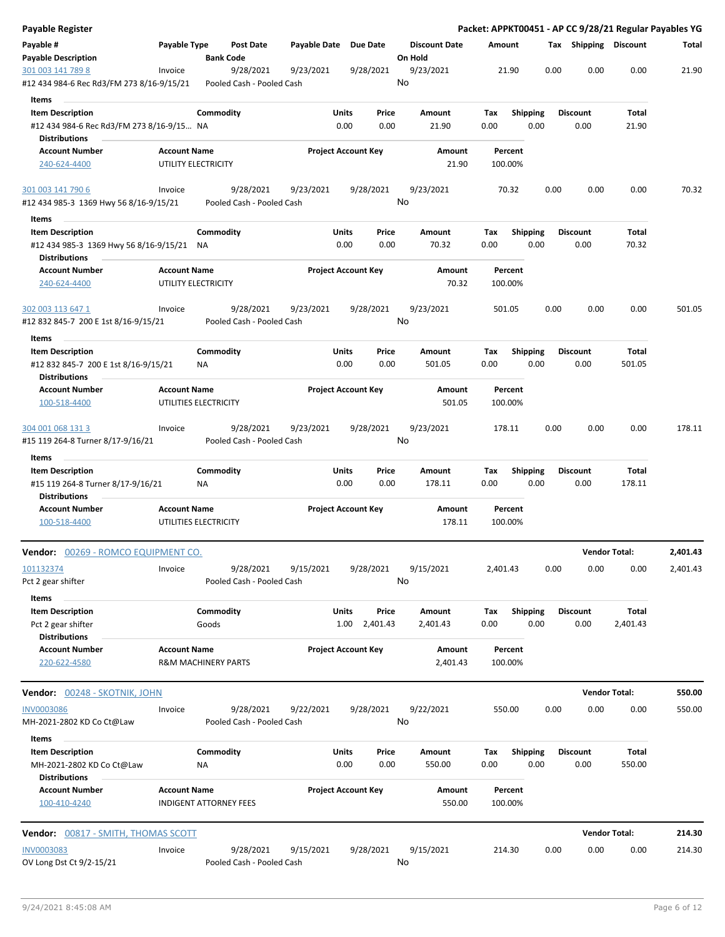| <b>Payable Register</b>                                           |                     |                               |                                        |                       |                            |                   |                                 |                    |             |                         |      |                         |                      | Packet: APPKT00451 - AP CC 9/28/21 Regular Payables YG |
|-------------------------------------------------------------------|---------------------|-------------------------------|----------------------------------------|-----------------------|----------------------------|-------------------|---------------------------------|--------------------|-------------|-------------------------|------|-------------------------|----------------------|--------------------------------------------------------|
| Payable #<br><b>Payable Description</b>                           | Payable Type        | <b>Bank Code</b>              | <b>Post Date</b>                       | Payable Date Due Date |                            |                   | <b>Discount Date</b><br>On Hold |                    | Amount      |                         |      | Tax Shipping Discount   |                      | Total                                                  |
| 301 003 141 789 8                                                 | Invoice             |                               | 9/28/2021                              | 9/23/2021             |                            | 9/28/2021         | 9/23/2021                       |                    |             | 21.90                   | 0.00 | 0.00                    | 0.00                 | 21.90                                                  |
| #12 434 984-6 Rec Rd3/FM 273 8/16-9/15/21                         |                     |                               | Pooled Cash - Pooled Cash              |                       |                            |                   | No                              |                    |             |                         |      |                         |                      |                                                        |
| Items                                                             |                     |                               |                                        |                       |                            |                   |                                 |                    |             |                         |      |                         |                      |                                                        |
| <b>Item Description</b>                                           |                     | Commodity                     |                                        |                       | Units                      | Price             | Amount                          |                    | Tax         | <b>Shipping</b>         |      | <b>Discount</b>         | Total                |                                                        |
| #12 434 984-6 Rec Rd3/FM 273 8/16-9/15 NA                         |                     |                               |                                        |                       | 0.00                       | 0.00              | 21.90                           |                    | 0.00        | 0.00                    |      | 0.00                    | 21.90                |                                                        |
| <b>Distributions</b>                                              |                     |                               |                                        |                       |                            |                   |                                 |                    |             |                         |      |                         |                      |                                                        |
| <b>Account Number</b>                                             | <b>Account Name</b> |                               |                                        |                       | <b>Project Account Key</b> |                   |                                 | Amount             |             | Percent                 |      |                         |                      |                                                        |
| 240-624-4400                                                      |                     | UTILITY ELECTRICITY           |                                        |                       |                            |                   |                                 | 21.90              |             | 100.00%                 |      |                         |                      |                                                        |
| 301 003 141 790 6                                                 | Invoice             |                               | 9/28/2021                              | 9/23/2021             |                            | 9/28/2021         | 9/23/2021                       |                    |             | 70.32                   | 0.00 | 0.00                    | 0.00                 | 70.32                                                  |
| #12 434 985-3 1369 Hwy 56 8/16-9/15/21                            |                     |                               | Pooled Cash - Pooled Cash              |                       |                            |                   | No                              |                    |             |                         |      |                         |                      |                                                        |
| Items                                                             |                     |                               |                                        |                       |                            |                   |                                 |                    |             |                         |      |                         |                      |                                                        |
| <b>Item Description</b>                                           |                     | Commodity                     |                                        |                       | Units                      | Price             | Amount                          |                    | Tax         | <b>Shipping</b>         |      | <b>Discount</b>         | Total                |                                                        |
| #12 434 985-3 1369 Hwy 56 8/16-9/15/21 NA<br><b>Distributions</b> |                     |                               |                                        |                       | 0.00                       | 0.00              | 70.32                           |                    | 0.00        | 0.00                    |      | 0.00                    | 70.32                |                                                        |
| <b>Account Number</b><br>240-624-4400                             | <b>Account Name</b> | UTILITY ELECTRICITY           |                                        |                       | <b>Project Account Key</b> |                   |                                 | Amount<br>70.32    |             | Percent<br>100.00%      |      |                         |                      |                                                        |
| 302 003 113 647 1                                                 | Invoice             |                               | 9/28/2021                              | 9/23/2021             |                            | 9/28/2021         | 9/23/2021                       |                    |             | 501.05                  | 0.00 | 0.00                    | 0.00                 | 501.05                                                 |
| #12 832 845-7 200 E 1st 8/16-9/15/21                              |                     |                               | Pooled Cash - Pooled Cash              |                       |                            |                   | No                              |                    |             |                         |      |                         |                      |                                                        |
| Items                                                             |                     |                               |                                        |                       |                            |                   |                                 |                    |             |                         |      |                         |                      |                                                        |
| <b>Item Description</b>                                           |                     | Commodity                     |                                        |                       | Units                      | Price             | Amount                          |                    | Tax         | <b>Shipping</b>         |      | <b>Discount</b>         | Total                |                                                        |
| #12 832 845-7 200 E 1st 8/16-9/15/21<br><b>Distributions</b>      |                     | ΝA                            |                                        |                       | 0.00                       | 0.00              | 501.05                          |                    | 0.00        | 0.00                    |      | 0.00                    | 501.05               |                                                        |
| <b>Account Number</b>                                             | <b>Account Name</b> |                               |                                        |                       | <b>Project Account Key</b> |                   |                                 | Amount             |             | Percent                 |      |                         |                      |                                                        |
| 100-518-4400                                                      |                     | UTILITIES ELECTRICITY         |                                        |                       |                            |                   |                                 | 501.05             |             | 100.00%                 |      |                         |                      |                                                        |
| 304 001 068 131 3<br>#15 119 264-8 Turner 8/17-9/16/21            | Invoice             |                               | 9/28/2021<br>Pooled Cash - Pooled Cash | 9/23/2021             |                            | 9/28/2021         | 9/23/2021<br>No                 |                    |             | 178.11                  | 0.00 | 0.00                    | 0.00                 | 178.11                                                 |
| Items                                                             |                     |                               |                                        |                       |                            |                   |                                 |                    |             |                         |      |                         |                      |                                                        |
| <b>Item Description</b><br>#15 119 264-8 Turner 8/17-9/16/21      |                     | Commodity<br>ΝA               |                                        |                       | Units<br>0.00              | Price<br>0.00     | Amount<br>178.11                |                    | Tax<br>0.00 | <b>Shipping</b><br>0.00 |      | <b>Discount</b><br>0.00 | Total<br>178.11      |                                                        |
| <b>Distributions</b>                                              |                     |                               |                                        |                       |                            |                   |                                 | Amount             |             | Percent                 |      |                         |                      |                                                        |
| <b>Account Number</b><br>100-518-4400                             | <b>Account Name</b> | UTILITIES ELECTRICITY         |                                        |                       | <b>Project Account Key</b> |                   |                                 | 178.11             |             | 100.00%                 |      |                         |                      |                                                        |
| Vendor: 00269 - ROMCO EQUIPMENT CO.                               |                     |                               |                                        |                       |                            |                   |                                 |                    |             |                         |      |                         | <b>Vendor Total:</b> | 2,401.43                                               |
| 101132374                                                         | Invoice             |                               | 9/28/2021                              | 9/15/2021             |                            | 9/28/2021         | 9/15/2021                       |                    | 2,401.43    |                         | 0.00 | 0.00                    | 0.00                 | 2,401.43                                               |
| Pct 2 gear shifter                                                |                     |                               | Pooled Cash - Pooled Cash              |                       |                            |                   | No                              |                    |             |                         |      |                         |                      |                                                        |
| Items                                                             |                     |                               |                                        |                       |                            |                   |                                 |                    |             |                         |      |                         |                      |                                                        |
| <b>Item Description</b><br>Pct 2 gear shifter                     |                     | Commodity<br>Goods            |                                        |                       | Units<br>1.00              | Price<br>2,401.43 | Amount<br>2,401.43              |                    | Тах<br>0.00 | <b>Shipping</b><br>0.00 |      | <b>Discount</b><br>0.00 | Total<br>2,401.43    |                                                        |
| <b>Distributions</b>                                              |                     |                               |                                        |                       |                            |                   |                                 |                    |             |                         |      |                         |                      |                                                        |
| <b>Account Number</b><br>220-622-4580                             | <b>Account Name</b> | R&M MACHINERY PARTS           |                                        |                       | <b>Project Account Key</b> |                   |                                 | Amount<br>2,401.43 |             | Percent<br>100.00%      |      |                         |                      |                                                        |
| <b>Vendor:</b> 00248 - SKOTNIK, JOHN                              |                     |                               |                                        |                       |                            |                   |                                 |                    |             |                         |      |                         | <b>Vendor Total:</b> | 550.00                                                 |
| <b>INV0003086</b>                                                 | Invoice             |                               | 9/28/2021                              | 9/22/2021             |                            | 9/28/2021         | 9/22/2021                       |                    |             | 550.00                  | 0.00 | 0.00                    | 0.00                 | 550.00                                                 |
| MH-2021-2802 KD Co Ct@Law                                         |                     |                               | Pooled Cash - Pooled Cash              |                       |                            |                   | No                              |                    |             |                         |      |                         |                      |                                                        |
| Items                                                             |                     |                               |                                        |                       |                            |                   |                                 |                    |             |                         |      |                         |                      |                                                        |
| <b>Item Description</b><br>MH-2021-2802 KD Co Ct@Law              |                     | Commodity<br>ΝA               |                                        |                       | Units<br>0.00              | Price<br>0.00     | Amount<br>550.00                |                    | Tax<br>0.00 | <b>Shipping</b><br>0.00 |      | <b>Discount</b><br>0.00 | Total<br>550.00      |                                                        |
| <b>Distributions</b><br><b>Account Number</b>                     | <b>Account Name</b> |                               |                                        |                       | <b>Project Account Key</b> |                   |                                 | Amount             |             | Percent                 |      |                         |                      |                                                        |
| 100-410-4240                                                      |                     | <b>INDIGENT ATTORNEY FEES</b> |                                        |                       |                            |                   |                                 | 550.00             |             | 100.00%                 |      |                         |                      |                                                        |
| Vendor: 00817 - SMITH, THOMAS SCOTT                               |                     |                               |                                        |                       |                            |                   |                                 |                    |             |                         |      |                         | <b>Vendor Total:</b> | 214.30                                                 |
| <b>INV0003083</b>                                                 | Invoice             |                               | 9/28/2021                              | 9/15/2021             |                            | 9/28/2021         | 9/15/2021                       |                    |             | 214.30                  | 0.00 | 0.00                    | 0.00                 | 214.30                                                 |
| OV Long Dst Ct 9/2-15/21                                          |                     |                               | Pooled Cash - Pooled Cash              |                       |                            |                   | No                              |                    |             |                         |      |                         |                      |                                                        |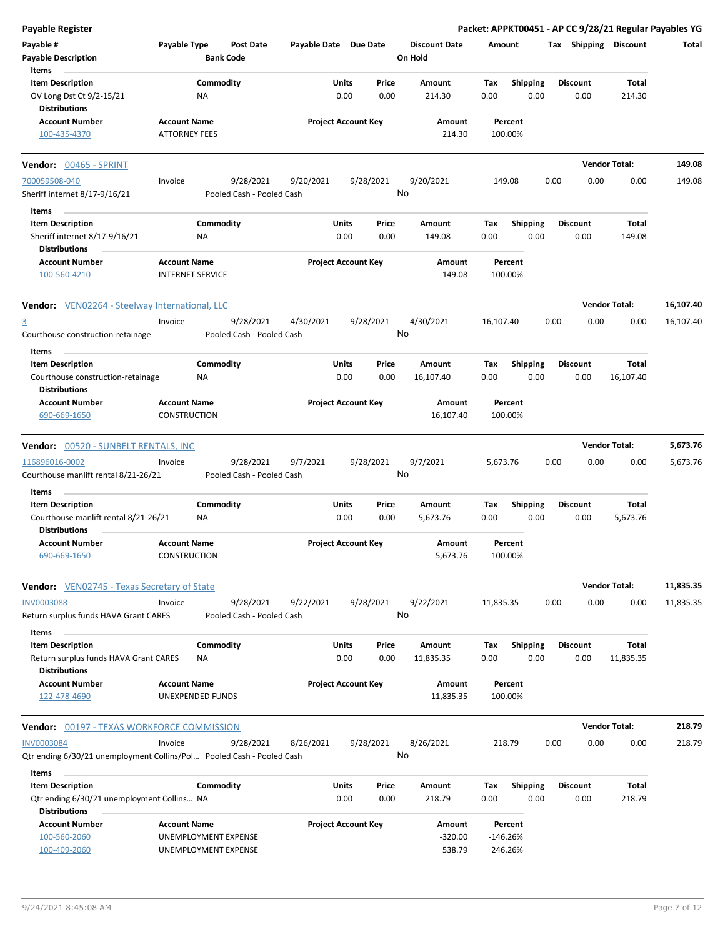| <b>Payable Register</b>                                               |                                                |                                        |                       |                            |                                 |                       |                         |      |                         |                       | Packet: APPKT00451 - AP CC 9/28/21 Regular Payables YG |
|-----------------------------------------------------------------------|------------------------------------------------|----------------------------------------|-----------------------|----------------------------|---------------------------------|-----------------------|-------------------------|------|-------------------------|-----------------------|--------------------------------------------------------|
| Payable #<br><b>Payable Description</b>                               | Payable Type                                   | <b>Post Date</b><br><b>Bank Code</b>   | Payable Date Due Date |                            | <b>Discount Date</b><br>On Hold | Amount                |                         |      |                         | Tax Shipping Discount | Total                                                  |
| Items                                                                 |                                                |                                        |                       |                            |                                 |                       |                         |      |                         |                       |                                                        |
| <b>Item Description</b><br>OV Long Dst Ct 9/2-15/21                   | Commodity<br>ΝA                                |                                        | Units                 | Price<br>0.00<br>0.00      | Amount<br>214.30                | Tax<br>0.00           | <b>Shipping</b><br>0.00 |      | <b>Discount</b><br>0.00 | Total<br>214.30       |                                                        |
| Distributions                                                         |                                                |                                        |                       |                            |                                 |                       |                         |      |                         |                       |                                                        |
| <b>Account Number</b><br>100-435-4370                                 | <b>Account Name</b><br><b>ATTORNEY FEES</b>    |                                        |                       | <b>Project Account Key</b> | Amount<br>214.30                | Percent<br>100.00%    |                         |      |                         |                       |                                                        |
| Vendor: 00465 - SPRINT                                                |                                                |                                        |                       |                            |                                 |                       |                         |      |                         | <b>Vendor Total:</b>  | 149.08                                                 |
| 700059508-040<br>Sheriff internet 8/17-9/16/21                        | Invoice                                        | 9/28/2021<br>Pooled Cash - Pooled Cash | 9/20/2021             | 9/28/2021                  | 9/20/2021<br>No                 | 149.08                |                         | 0.00 | 0.00                    | 0.00                  | 149.08                                                 |
| Items                                                                 |                                                |                                        |                       |                            |                                 |                       |                         |      |                         |                       |                                                        |
| <b>Item Description</b><br>Sheriff internet 8/17-9/16/21              | Commodity<br>ΝA                                |                                        | Units                 | Price<br>0.00<br>0.00      | Amount<br>149.08                | Tax<br>0.00           | <b>Shipping</b><br>0.00 |      | Discount<br>0.00        | Total<br>149.08       |                                                        |
| <b>Distributions</b>                                                  |                                                |                                        |                       |                            |                                 |                       |                         |      |                         |                       |                                                        |
| <b>Account Number</b><br>100-560-4210                                 | <b>Account Name</b><br><b>INTERNET SERVICE</b> |                                        |                       | <b>Project Account Key</b> | Amount<br>149.08                | Percent<br>100.00%    |                         |      |                         |                       |                                                        |
| <b>Vendor:</b> VEN02264 - Steelway International, LLC                 |                                                |                                        |                       |                            |                                 |                       |                         |      |                         | <b>Vendor Total:</b>  | 16,107.40                                              |
| $\overline{3}$<br>Courthouse construction-retainage                   | Invoice                                        | 9/28/2021<br>Pooled Cash - Pooled Cash | 4/30/2021             | 9/28/2021                  | 4/30/2021<br>No                 | 16,107.40             |                         | 0.00 | 0.00                    | 0.00                  | 16,107.40                                              |
| Items                                                                 |                                                |                                        |                       |                            |                                 |                       |                         |      |                         |                       |                                                        |
| <b>Item Description</b><br>Courthouse construction-retainage          | Commodity<br><b>NA</b>                         |                                        | Units                 | Price<br>0.00<br>0.00      | Amount<br>16,107.40             | Tax<br>0.00           | <b>Shipping</b><br>0.00 |      | Discount<br>0.00        | Total<br>16,107.40    |                                                        |
| Distributions                                                         |                                                |                                        |                       |                            |                                 |                       |                         |      |                         |                       |                                                        |
| <b>Account Number</b><br>690-669-1650                                 | <b>Account Name</b><br>CONSTRUCTION            |                                        |                       | <b>Project Account Key</b> | Amount<br>16,107.40             | Percent<br>100.00%    |                         |      |                         |                       |                                                        |
| Vendor: 00520 - SUNBELT RENTALS, INC                                  |                                                |                                        |                       |                            |                                 |                       |                         |      |                         | <b>Vendor Total:</b>  | 5,673.76                                               |
| 116896016-0002                                                        | Invoice                                        | 9/28/2021                              | 9/7/2021              | 9/28/2021                  | 9/7/2021                        | 5,673.76              |                         | 0.00 | 0.00                    | 0.00                  | 5,673.76                                               |
| Courthouse manlift rental 8/21-26/21                                  |                                                | Pooled Cash - Pooled Cash              |                       |                            | No                              |                       |                         |      |                         |                       |                                                        |
| Items<br><b>Item Description</b>                                      | Commodity                                      |                                        | Units                 | Price                      | Amount                          | Tax                   | <b>Shipping</b>         |      | Discount                | Total                 |                                                        |
| Courthouse manlift rental 8/21-26/21                                  | ΝA                                             |                                        |                       | 0.00<br>0.00               | 5,673.76                        | 0.00                  | 0.00                    |      | 0.00                    | 5,673.76              |                                                        |
| Distributions                                                         |                                                |                                        |                       |                            |                                 |                       |                         |      |                         |                       |                                                        |
| Account Number<br>690-669-1650                                        | <b>Account Name</b><br>CONSTRUCTION            |                                        |                       | <b>Project Account Key</b> | Amount<br>5,673.76              | Percent<br>100.00%    |                         |      |                         |                       |                                                        |
| <b>Vendor:</b> VEN02745 - Texas Secretary of State                    |                                                |                                        |                       |                            |                                 |                       |                         |      |                         | <b>Vendor Total:</b>  | 11,835.35                                              |
| <b>INV0003088</b>                                                     | Invoice                                        | 9/28/2021                              | 9/22/2021             | 9/28/2021                  | 9/22/2021                       | 11,835.35             |                         | 0.00 | 0.00                    | 0.00                  | 11,835.35                                              |
| Return surplus funds HAVA Grant CARES                                 |                                                | Pooled Cash - Pooled Cash              |                       |                            | No                              |                       |                         |      |                         |                       |                                                        |
| Items<br><b>Item Description</b>                                      | Commodity                                      |                                        | Units                 | Price                      | Amount                          |                       |                         |      |                         | Total                 |                                                        |
| Return surplus funds HAVA Grant CARES<br><b>Distributions</b>         | ΝA                                             |                                        |                       | 0.00<br>0.00               | 11,835.35                       | Tax<br>0.00           | Shipping<br>0.00        |      | Discount<br>0.00        | 11,835.35             |                                                        |
| <b>Account Number</b>                                                 | <b>Account Name</b>                            |                                        |                       | <b>Project Account Key</b> | Amount                          | Percent               |                         |      |                         |                       |                                                        |
| 122-478-4690                                                          | UNEXPENDED FUNDS                               |                                        |                       |                            | 11,835.35                       | 100.00%               |                         |      |                         |                       |                                                        |
| <b>Vendor: 00197 - TEXAS WORKFORCE COMMISSION</b>                     |                                                |                                        |                       |                            |                                 |                       |                         |      |                         | <b>Vendor Total:</b>  | 218.79                                                 |
| <b>INV0003084</b>                                                     | Invoice                                        | 9/28/2021                              | 8/26/2021             | 9/28/2021                  | 8/26/2021                       | 218.79                |                         | 0.00 | 0.00                    | 0.00                  | 218.79                                                 |
| Qtr ending 6/30/21 unemployment Collins/Pol Pooled Cash - Pooled Cash |                                                |                                        |                       |                            | No                              |                       |                         |      |                         |                       |                                                        |
| Items                                                                 |                                                |                                        |                       |                            |                                 |                       |                         |      |                         |                       |                                                        |
| <b>Item Description</b>                                               | Commodity                                      |                                        | Units                 | Price                      | Amount                          | Tax                   | <b>Shipping</b>         |      | Discount                | Total                 |                                                        |
| Qtr ending 6/30/21 unemployment Collins NA<br>Distributions           |                                                |                                        |                       | 0.00<br>0.00               | 218.79                          | 0.00                  | 0.00                    |      | 0.00                    | 218.79                |                                                        |
| <b>Account Number</b>                                                 | <b>Account Name</b>                            |                                        |                       | <b>Project Account Key</b> | Amount                          | Percent               |                         |      |                         |                       |                                                        |
| 100-560-2060<br>100-409-2060                                          | UNEMPLOYMENT EXPENSE<br>UNEMPLOYMENT EXPENSE   |                                        |                       |                            | $-320.00$<br>538.79             | $-146.26%$<br>246.26% |                         |      |                         |                       |                                                        |
|                                                                       |                                                |                                        |                       |                            |                                 |                       |                         |      |                         |                       |                                                        |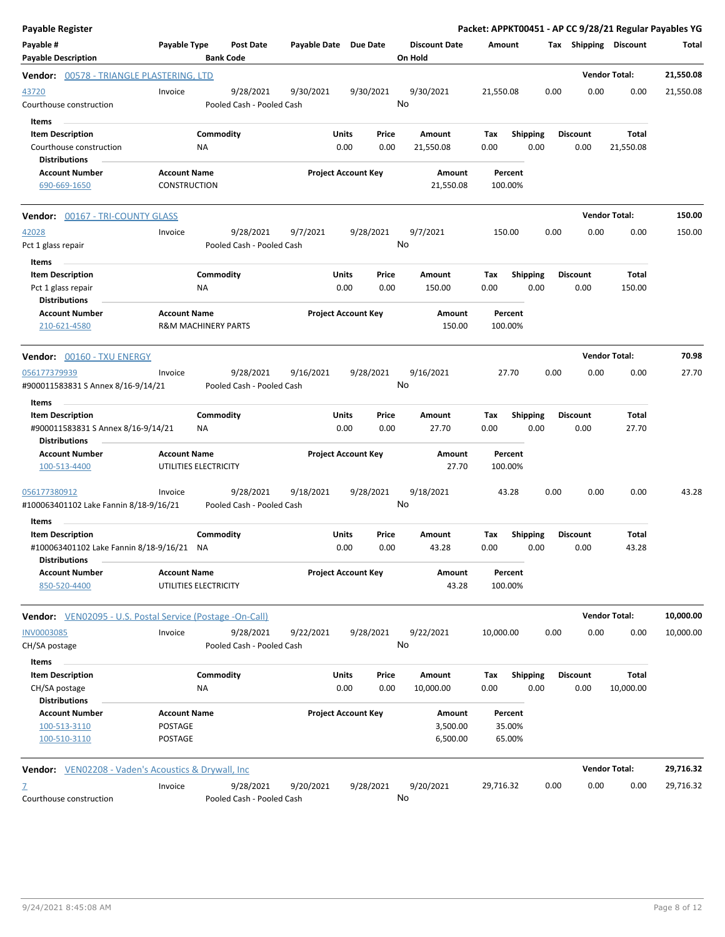| <b>Payable Register</b>                                                                            |                                            |                                |                                        |                       |                            |               |                                 |                             |                         |      |                         |                       | Packet: APPKT00451 - AP CC 9/28/21 Regular Payables YG |
|----------------------------------------------------------------------------------------------------|--------------------------------------------|--------------------------------|----------------------------------------|-----------------------|----------------------------|---------------|---------------------------------|-----------------------------|-------------------------|------|-------------------------|-----------------------|--------------------------------------------------------|
| Payable #<br><b>Payable Description</b>                                                            | Payable Type                               | <b>Bank Code</b>               | <b>Post Date</b>                       | Payable Date Due Date |                            |               | <b>Discount Date</b><br>On Hold | Amount                      |                         |      |                         | Tax Shipping Discount | Total                                                  |
| <b>Vendor:</b> 00578 - TRIANGLE PLASTERING, LTD                                                    |                                            |                                |                                        |                       |                            |               |                                 |                             |                         |      |                         | <b>Vendor Total:</b>  | 21,550.08                                              |
| 43720<br>Courthouse construction                                                                   | Invoice                                    |                                | 9/28/2021<br>Pooled Cash - Pooled Cash | 9/30/2021             |                            | 9/30/2021     | 9/30/2021<br>No                 | 21,550.08                   |                         | 0.00 | 0.00                    | 0.00                  | 21,550.08                                              |
| <b>Items</b><br><b>Item Description</b><br>Courthouse construction                                 |                                            | Commodity<br>ΝA                |                                        |                       | Units<br>0.00              | Price<br>0.00 | Amount<br>21,550.08             | Tax<br>0.00                 | <b>Shipping</b><br>0.00 |      | <b>Discount</b><br>0.00 | Total<br>21,550.08    |                                                        |
| <b>Distributions</b><br><b>Account Number</b><br>690-669-1650                                      | <b>Account Name</b><br><b>CONSTRUCTION</b> |                                |                                        |                       | <b>Project Account Key</b> |               | <b>Amount</b><br>21,550.08      | Percent<br>100.00%          |                         |      |                         |                       |                                                        |
| <b>Vendor: 00167 - TRI-COUNTY GLASS</b>                                                            |                                            |                                |                                        |                       |                            |               |                                 |                             |                         |      |                         | <b>Vendor Total:</b>  | 150.00                                                 |
| 42028<br>Pct 1 glass repair<br>Items                                                               | Invoice                                    |                                | 9/28/2021<br>Pooled Cash - Pooled Cash | 9/7/2021              |                            | 9/28/2021     | 9/7/2021<br>No                  | 150.00                      |                         | 0.00 | 0.00                    | 0.00                  | 150.00                                                 |
| <b>Item Description</b><br>Pct 1 glass repair<br><b>Distributions</b>                              |                                            | Commodity<br>NA                |                                        |                       | Units<br>0.00              | Price<br>0.00 | Amount<br>150.00                | Tax<br>0.00                 | <b>Shipping</b><br>0.00 |      | <b>Discount</b><br>0.00 | Total<br>150.00       |                                                        |
| <b>Account Number</b><br>210-621-4580                                                              | <b>Account Name</b>                        | <b>R&amp;M MACHINERY PARTS</b> |                                        |                       | <b>Project Account Key</b> |               | Amount<br>150.00                | Percent<br>100.00%          |                         |      |                         |                       |                                                        |
| Vendor: 00160 - TXU ENERGY                                                                         |                                            |                                |                                        |                       |                            |               |                                 |                             |                         |      |                         | <b>Vendor Total:</b>  | 70.98                                                  |
| 056177379939<br>#900011583831 S Annex 8/16-9/14/21<br>Items                                        | Invoice                                    |                                | 9/28/2021<br>Pooled Cash - Pooled Cash | 9/16/2021             |                            | 9/28/2021     | 9/16/2021<br>No                 | 27.70                       |                         | 0.00 | 0.00                    | 0.00                  | 27.70                                                  |
| <b>Item Description</b><br>#900011583831 S Annex 8/16-9/14/21<br><b>Distributions</b>              |                                            | Commodity<br>NA                |                                        |                       | Units<br>0.00              | Price<br>0.00 | Amount<br>27.70                 | Tax<br>0.00                 | <b>Shipping</b><br>0.00 |      | <b>Discount</b><br>0.00 | Total<br>27.70        |                                                        |
| <b>Account Number</b><br>100-513-4400                                                              | <b>Account Name</b>                        | UTILITIES ELECTRICITY          |                                        |                       | <b>Project Account Key</b> |               | Amount<br>27.70                 | Percent<br>100.00%          |                         |      |                         |                       |                                                        |
| 056177380912<br>#100063401102 Lake Fannin 8/18-9/16/21                                             | Invoice                                    |                                | 9/28/2021<br>Pooled Cash - Pooled Cash | 9/18/2021             |                            | 9/28/2021     | 9/18/2021<br>No                 | 43.28                       |                         | 0.00 | 0.00                    | 0.00                  | 43.28                                                  |
| Items<br><b>Item Description</b><br>#100063401102 Lake Fannin 8/18-9/16/21<br><b>Distributions</b> |                                            | Commodity<br>NA                |                                        |                       | Units<br>0.00              | Price<br>0.00 | Amount<br>43.28                 | Tax<br>0.00                 | <b>Shipping</b><br>0.00 |      | <b>Discount</b><br>0.00 | Total<br>43.28        |                                                        |
| <b>Account Number</b><br>850-520-4400                                                              | <b>Account Name</b>                        | UTILITIES ELECTRICITY          |                                        |                       | <b>Project Account Key</b> |               | Amount<br>43.28                 | Percent<br>100.00%          |                         |      |                         |                       |                                                        |
| Vendor: VEN02095 - U.S. Postal Service (Postage -On-Call)                                          |                                            |                                |                                        |                       |                            |               |                                 |                             |                         |      |                         | <b>Vendor Total:</b>  | 10,000.00                                              |
| <b>INV0003085</b><br>CH/SA postage                                                                 | Invoice                                    |                                | 9/28/2021<br>Pooled Cash - Pooled Cash | 9/22/2021             |                            | 9/28/2021     | 9/22/2021<br>No                 | 10,000.00                   |                         | 0.00 | 0.00                    | 0.00                  | 10,000.00                                              |
| Items<br><b>Item Description</b>                                                                   |                                            | Commodity                      |                                        |                       | Units                      | Price         | Amount                          | Tax                         | <b>Shipping</b>         |      | <b>Discount</b>         | Total                 |                                                        |
| CH/SA postage<br><b>Distributions</b>                                                              |                                            | <b>NA</b>                      |                                        |                       | 0.00                       | 0.00          | 10,000.00                       | 0.00                        | 0.00                    |      | 0.00                    | 10,000.00             |                                                        |
| <b>Account Number</b><br>100-513-3110<br>100-510-3110                                              | <b>Account Name</b><br>POSTAGE<br>POSTAGE  |                                |                                        |                       | <b>Project Account Key</b> |               | Amount<br>3,500.00<br>6,500.00  | Percent<br>35.00%<br>65.00% |                         |      |                         |                       |                                                        |
| <b>Vendor:</b> VEN02208 - Vaden's Acoustics & Drywall, Inc                                         |                                            |                                |                                        |                       |                            |               |                                 |                             |                         |      |                         | <b>Vendor Total:</b>  | 29,716.32                                              |
| Z<br>Courthouse construction                                                                       | Invoice                                    |                                | 9/28/2021<br>Pooled Cash - Pooled Cash | 9/20/2021             |                            | 9/28/2021     | 9/20/2021<br>No                 | 29,716.32                   |                         | 0.00 | 0.00                    | 0.00                  | 29,716.32                                              |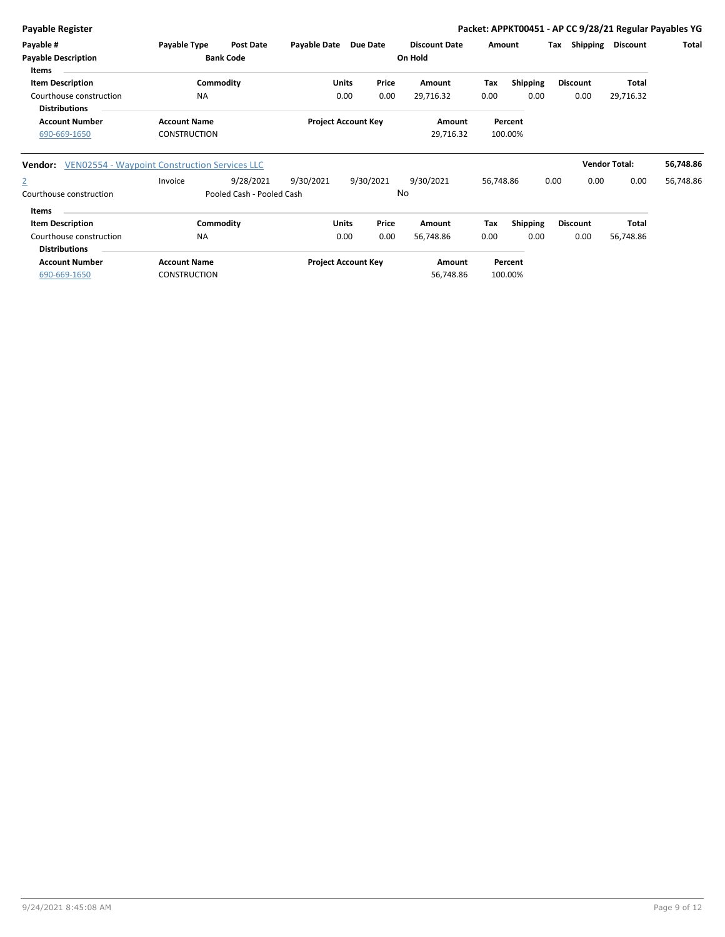| <b>Payable Register</b>                                         |                     |                           |              |                            |           |                      |           |                 | Packet: APPKT00451 - AP CC 9/28/21 Regular Payables YG |                      |           |
|-----------------------------------------------------------------|---------------------|---------------------------|--------------|----------------------------|-----------|----------------------|-----------|-----------------|--------------------------------------------------------|----------------------|-----------|
| Payable #                                                       | Payable Type        | <b>Post Date</b>          | Payable Date | Due Date                   |           | <b>Discount Date</b> | Amount    |                 | Shipping<br>Tax                                        | <b>Discount</b>      | Total     |
| <b>Payable Description</b>                                      |                     | <b>Bank Code</b>          |              |                            |           | On Hold              |           |                 |                                                        |                      |           |
| <b>Items</b>                                                    |                     |                           |              |                            |           |                      |           |                 |                                                        |                      |           |
| <b>Item Description</b>                                         | Commodity           |                           |              | Price<br>Units             |           | Amount               | Tax       | <b>Shipping</b> | <b>Discount</b>                                        | <b>Total</b>         |           |
| Courthouse construction<br><b>Distributions</b>                 | <b>NA</b>           |                           |              | 0.00<br>0.00               |           | 29,716.32            | 0.00      | 0.00            | 0.00                                                   | 29,716.32            |           |
| <b>Account Number</b>                                           | <b>Account Name</b> |                           |              | <b>Project Account Key</b> |           | Amount               |           | Percent         |                                                        |                      |           |
| 690-669-1650                                                    | <b>CONSTRUCTION</b> |                           |              |                            |           | 29,716.32            |           | 100.00%         |                                                        |                      |           |
| <b>VEN02554 - Waypoint Construction Services LLC</b><br>Vendor: |                     |                           |              |                            |           |                      |           |                 |                                                        | <b>Vendor Total:</b> | 56,748.86 |
| $\overline{2}$                                                  | Invoice             | 9/28/2021                 | 9/30/2021    | 9/30/2021                  |           | 9/30/2021            | 56,748.86 |                 | 0.00<br>0.00                                           | 0.00                 | 56,748.86 |
| Courthouse construction                                         |                     | Pooled Cash - Pooled Cash |              |                            | <b>No</b> |                      |           |                 |                                                        |                      |           |
| <b>Items</b>                                                    |                     |                           |              |                            |           |                      |           |                 |                                                        |                      |           |
| <b>Item Description</b>                                         | Commodity           |                           | <b>Units</b> | Price                      |           | Amount               | Tax       | Shipping        | <b>Discount</b>                                        | <b>Total</b>         |           |
| Courthouse construction                                         | <b>NA</b>           |                           |              | 0.00<br>0.00               |           | 56,748.86            | 0.00      | 0.00            | 0.00                                                   | 56,748.86            |           |
| <b>Distributions</b>                                            |                     |                           |              |                            |           |                      |           |                 |                                                        |                      |           |
| <b>Account Number</b>                                           | <b>Account Name</b> |                           |              | <b>Project Account Key</b> |           | Amount               |           | Percent         |                                                        |                      |           |
| 690-669-1650                                                    | <b>CONSTRUCTION</b> |                           |              |                            |           | 56,748.86            |           | 100.00%         |                                                        |                      |           |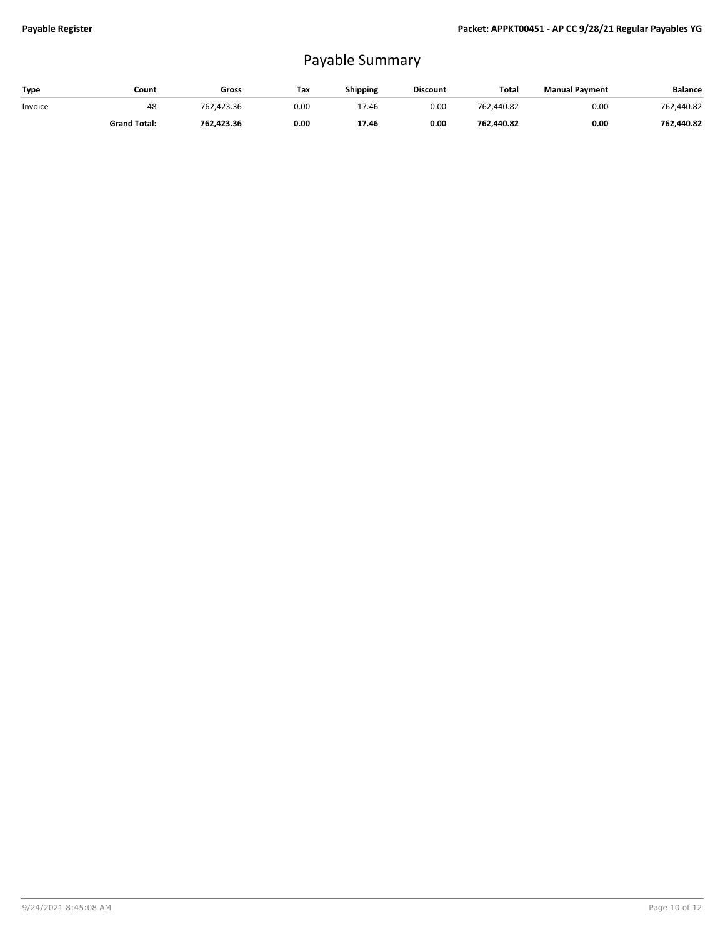## Payable Summary

| Type    | Count               | Gross      | Tax  | <b>Shipping</b> | <b>Discount</b> | <b>Total</b> | <b>Manual Payment</b> | <b>Balance</b> |
|---------|---------------------|------------|------|-----------------|-----------------|--------------|-----------------------|----------------|
| Invoice | 48                  | 762.423.36 | 0.00 | 17.46           | 0.00            | 762.440.82   | 0.00                  | 762.440.82     |
|         | <b>Grand Total:</b> | 762.423.36 | 0.00 | 17.46           | 0.00            | 762.440.82   | 0.00                  | 762.440.82     |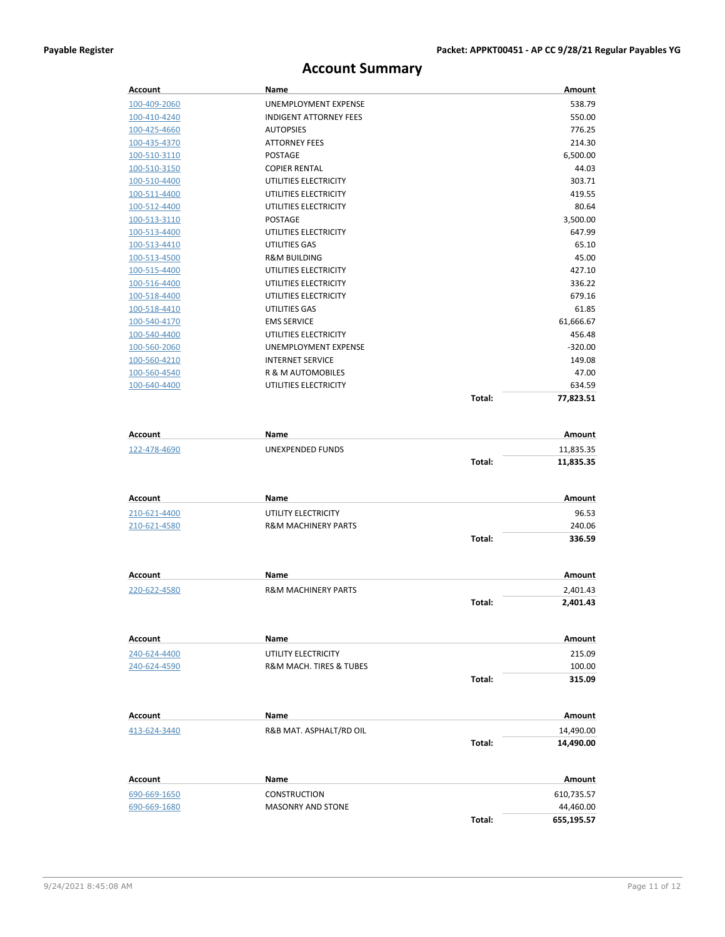### **Account Summary**

| <b>Account</b> | Name                           |        | Amount    |
|----------------|--------------------------------|--------|-----------|
| 100-409-2060   | UNEMPLOYMENT EXPENSE           |        | 538.79    |
| 100-410-4240   | <b>INDIGENT ATTORNEY FEES</b>  |        | 550.00    |
| 100-425-4660   | <b>AUTOPSIES</b>               |        | 776.25    |
| 100-435-4370   | <b>ATTORNEY FEES</b>           |        | 214.30    |
| 100-510-3110   | POSTAGE                        |        | 6,500.00  |
| 100-510-3150   | <b>COPIER RENTAL</b>           |        | 44.03     |
| 100-510-4400   | UTILITIES ELECTRICITY          |        | 303.71    |
| 100-511-4400   | UTILITIES ELECTRICITY          |        | 419.55    |
| 100-512-4400   | UTILITIES ELECTRICITY          |        | 80.64     |
| 100-513-3110   | <b>POSTAGE</b>                 |        | 3,500.00  |
| 100-513-4400   | UTILITIES ELECTRICITY          |        | 647.99    |
| 100-513-4410   | <b>UTILITIES GAS</b>           |        | 65.10     |
| 100-513-4500   | <b>R&amp;M BUILDING</b>        |        | 45.00     |
| 100-515-4400   | UTILITIES ELECTRICITY          |        | 427.10    |
| 100-516-4400   | UTILITIES ELECTRICITY          |        | 336.22    |
| 100-518-4400   | UTILITIES ELECTRICITY          |        | 679.16    |
| 100-518-4410   | UTILITIES GAS                  |        | 61.85     |
| 100-540-4170   | <b>EMS SERVICE</b>             |        | 61,666.67 |
| 100-540-4400   | UTILITIES ELECTRICITY          |        | 456.48    |
| 100-560-2060   | UNEMPLOYMENT EXPENSE           |        | $-320.00$ |
| 100-560-4210   | <b>INTERNET SERVICE</b>        |        | 149.08    |
| 100-560-4540   | <b>R &amp; M AUTOMOBILES</b>   |        | 47.00     |
| 100-640-4400   | UTILITIES ELECTRICITY          |        | 634.59    |
|                |                                | Total: | 77,823.51 |
| Account        | Name                           |        | Amount    |
| 122-478-4690   | <b>UNEXPENDED FUNDS</b>        |        | 11,835.35 |
|                |                                | Total: | 11,835.35 |
| Account        | Name                           |        | Amount    |
| 210-621-4400   | UTILITY ELECTRICITY            |        | 96.53     |
| 210-621-4580   | <b>R&amp;M MACHINERY PARTS</b> |        | 240.06    |
|                |                                | Total: | 336.59    |
|                |                                |        |           |
| Account        | Name                           |        | Amount    |
| 220-622-4580   | <b>R&amp;M MACHINERY PARTS</b> |        | 2,401.43  |
|                |                                | Total: | 2,401.43  |
| Account        | Name                           |        | Amount    |
| 240-624-4400   | UTILITY ELECTRICITY            |        | 215.09    |
| 240-624-4590   | R&M MACH. TIRES & TUBES        |        | 100.00    |
|                |                                | Total: | 315.09    |

| Account      | Name                    |        | Amount    |
|--------------|-------------------------|--------|-----------|
| 413-624-3440 | R&B MAT. ASPHALT/RD OIL |        | 14,490.00 |
|              |                         | Total: | 14,490.00 |

| Account      | Name                     |        | Amount     |
|--------------|--------------------------|--------|------------|
| 690-669-1650 | <b>CONSTRUCTION</b>      |        | 610,735.57 |
| 690-669-1680 | <b>MASONRY AND STONE</b> |        | 44,460.00  |
|              |                          | Total: | 655,195.57 |